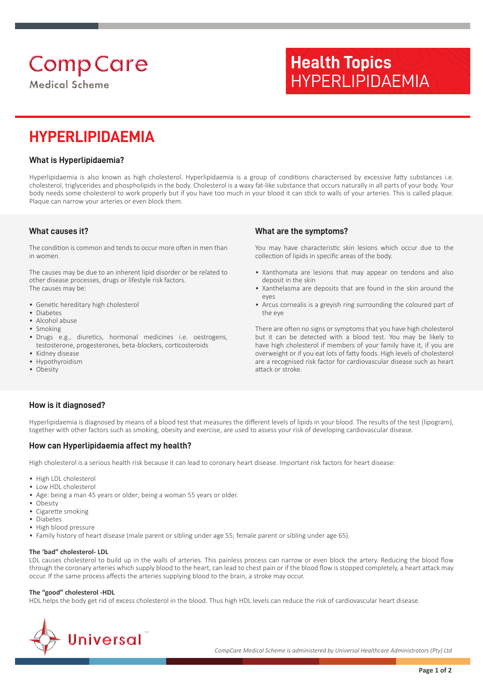# **Comp Care**

**Medical Scheme** 

## **Health Topics** HYPERLIPIDAEMIA

### **HYPERLIPIDAEMIA**

#### **What is Hyperlipidaemia?**

Hyperlipidaemia is also known as high cholesterol. Hyperlipidaemia is a group of conditions characterised by excessive fatty substances i.e. cholesterol, triglycerides and phospholipids in the body. Cholesterol is a waxy fat-like substance that occurs naturally in all parts of your body. Your body needs some cholesterol to work properly but if you have too much in your blood it can stick to walls of your arteries. This is called plaque. Plaque can narrow your arteries or even block them.

#### **What causes it?**

The condition is common and tends to occur more often in men than in women.

The causes may be due to an inherent lipid disorder or be related to other disease processes, drugs or lifestyle risk factors. The causes may be:

- Genetic hereditary high cholesterol
- Diabetes
- Alcohol abuse
- Smoking
- Drugs e.g., diuretics, hormonal medicines i.e. oestrogens, testosterone, progesterones, beta -blockers, corticosteroids
- Kidney disease
- Hypothyroidism
- Obesity

#### **What are the symptoms?**

You may have characteristic skin lesions which occur due to the collection of lipids in specific areas of the body.

- Xanthomata are lesions that may appear on tendons and also deposit in the skin
- Xanthelasma are deposits that are found in the skin around the eyes
- Arcus cornealis is a greyish ring surrounding the coloured part of the eye

There are often no signs or symptoms that you have high cholesterol but it can be detected with a blood test. You may be likely to have high cholesterol if members of your family have it, if you are overweight or if you eat lots of fatty foods. High levels of cholesterol are a recognised risk factor for cardiovascular disease such as heart attack or stroke.

#### **How is it diagnosed?**

Hyperlipidaemia is diagnosed by means of a blood test that measures the different levels of lipids in your blood. The results of the test (lipogram), together with other factors such as smoking, obesity and exercise, are used to assess your risk of developing cardiovascular disease.

#### **How can Hyperlipidaemia affect my health?**

High cholesterol is a serious health risk because it can lead to coronary heart disease. Important risk factors for heart disease:

- High LDL cholesterol
- Low HDL cholesterol
- Age: being a man 45 years or older; being a woman 55 years or older.
- Obesity
- Cigarette smoking
- Diabetes
- High blood pressure
- Family history of heart disease (male parent or sibling under age 55; female parent or sibling under age 65).

#### **The 'bad" cholesterol- LDL**

LDL causes cholesterol to build up in the walls of arteries. This painless process can narrow or even block the artery. Reducing the blood flow through the coronary arteries which supply blood to the heart, can lead to chest pain or if the blood flow is stopped completely, a heart attack may occur. If the same process affects the arteries supplying blood to the brain, a stroke may occur.

#### **The "good" cholesterol -HDL**

HDL helps the body get rid of excess cholesterol in the blood. Thus high HDL levels can reduce the risk of cardiovascular heart disease.